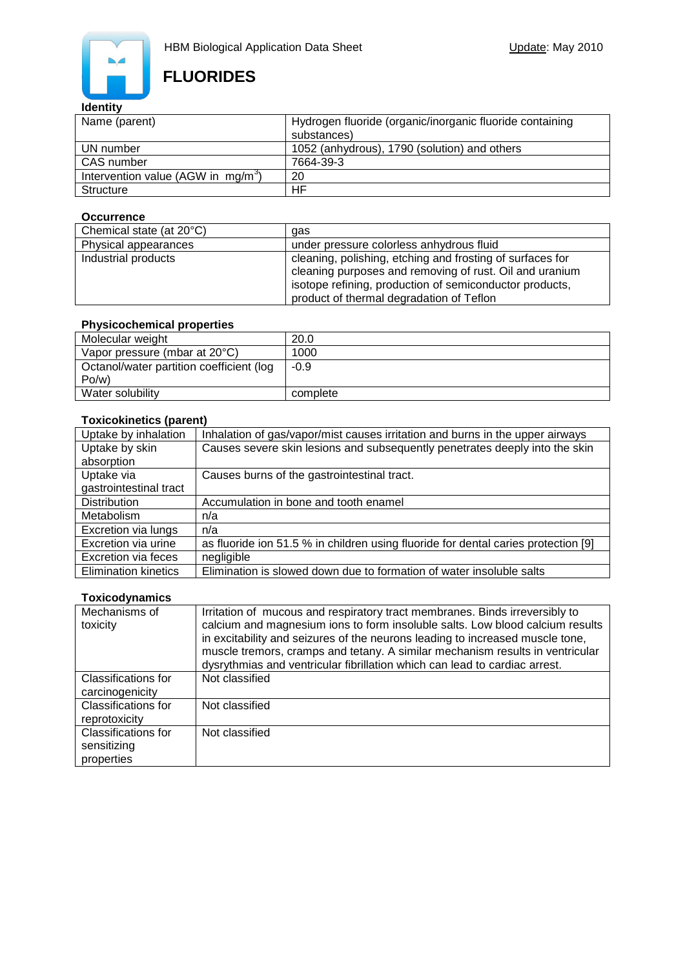

# **FLUORIDES**

### **Identity**

| Name (parent)                         | Hydrogen fluoride (organic/inorganic fluoride containing |  |
|---------------------------------------|----------------------------------------------------------|--|
|                                       | substances)                                              |  |
| UN number                             | 1052 (anhydrous), 1790 (solution) and others             |  |
| CAS number                            | 7664-39-3                                                |  |
| Intervention value (AGW in $mg/m^3$ ) | 20                                                       |  |
| Structure                             | ΗF                                                       |  |

#### **Occurrence**

| Chemical state (at 20°C) | qas                                                                                                                                                                                                                         |
|--------------------------|-----------------------------------------------------------------------------------------------------------------------------------------------------------------------------------------------------------------------------|
| Physical appearances     | under pressure colorless anhydrous fluid                                                                                                                                                                                    |
| Industrial products      | cleaning, polishing, etching and frosting of surfaces for<br>cleaning purposes and removing of rust. Oil and uranium<br>isotope refining, production of semiconductor products,<br>product of thermal degradation of Teflon |

### **Physicochemical properties**

| Molecular weight                         | 20.0     |
|------------------------------------------|----------|
| Vapor pressure (mbar at 20°C)            | 1000     |
| Octanol/water partition coefficient (log | $-0.9$   |
| Po/w                                     |          |
| Water solubility                         | complete |

#### **Toxicokinetics (parent)**

| Uptake by inhalation        | Inhalation of gas/vapor/mist causes irritation and burns in the upper airways      |
|-----------------------------|------------------------------------------------------------------------------------|
| Uptake by skin              | Causes severe skin lesions and subsequently penetrates deeply into the skin        |
| absorption                  |                                                                                    |
| Uptake via                  | Causes burns of the gastrointestinal tract.                                        |
| gastrointestinal tract      |                                                                                    |
| <b>Distribution</b>         | Accumulation in bone and tooth enamel                                              |
| Metabolism                  | n/a                                                                                |
| Excretion via lungs         | n/a                                                                                |
| Excretion via urine         | as fluoride ion 51.5 % in children using fluoride for dental caries protection [9] |
| Excretion via feces         | negligible                                                                         |
| <b>Elimination kinetics</b> | Elimination is slowed down due to formation of water insoluble salts               |

#### **Toxicodynamics**

| Mechanisms of<br>toxicity                               | Irritation of mucous and respiratory tract membranes. Binds irreversibly to<br>calcium and magnesium ions to form insoluble salts. Low blood calcium results<br>in excitability and seizures of the neurons leading to increased muscle tone,<br>muscle tremors, cramps and tetany. A similar mechanism results in ventricular<br>dysrythmias and ventricular fibrillation which can lead to cardiac arrest. |
|---------------------------------------------------------|--------------------------------------------------------------------------------------------------------------------------------------------------------------------------------------------------------------------------------------------------------------------------------------------------------------------------------------------------------------------------------------------------------------|
| Classifications for<br>carcinogenicity                  | Not classified                                                                                                                                                                                                                                                                                                                                                                                               |
| <b>Classifications for</b><br>reprotoxicity             | Not classified                                                                                                                                                                                                                                                                                                                                                                                               |
| <b>Classifications for</b><br>sensitizing<br>properties | Not classified                                                                                                                                                                                                                                                                                                                                                                                               |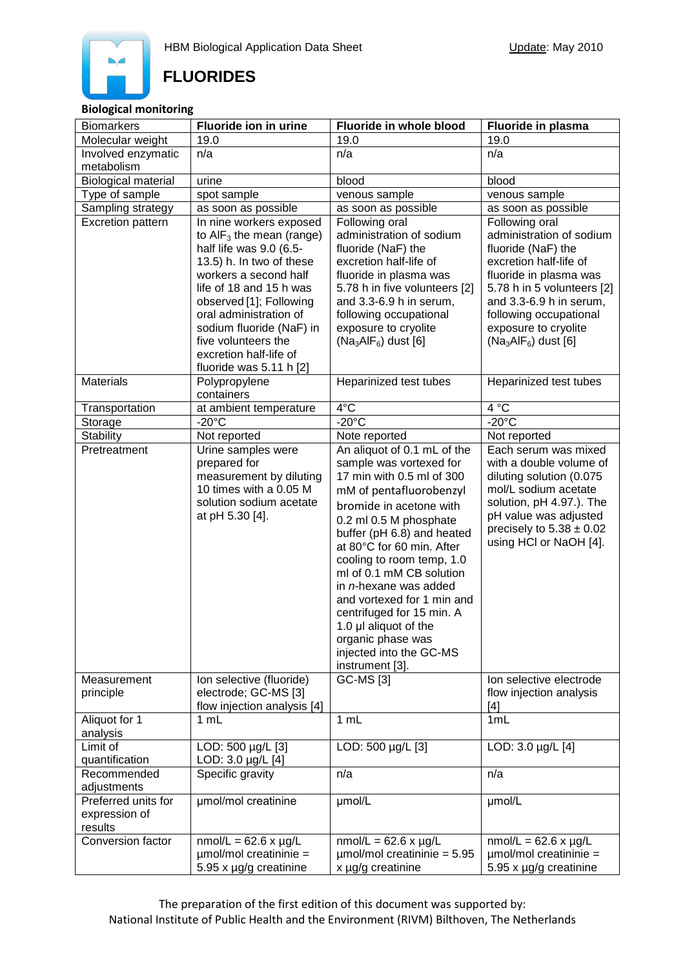

# **FLUORIDES**

#### **Biological monitoring**

| <b>Biomarkers</b>             | Fluoride ion in urine                             | Fluoride in whole blood                            | Fluoride in plasma                           |
|-------------------------------|---------------------------------------------------|----------------------------------------------------|----------------------------------------------|
| Molecular weight              | 19.0                                              | 19.0                                               | 19.0                                         |
| Involved enzymatic            | n/a                                               | n/a                                                | n/a                                          |
| metabolism                    |                                                   |                                                    |                                              |
| <b>Biological material</b>    | urine                                             | blood                                              | blood                                        |
| Type of sample                | spot sample                                       | venous sample                                      | venous sample                                |
| Sampling strategy             | as soon as possible                               | as soon as possible                                | as soon as possible                          |
| <b>Excretion pattern</b>      | In nine workers exposed                           | Following oral                                     | Following oral                               |
|                               | to $AIF_3$ the mean (range)                       | administration of sodium                           | administration of sodium                     |
|                               | half life was 9.0 (6.5-                           | fluoride (NaF) the<br>excretion half-life of       | fluoride (NaF) the<br>excretion half-life of |
|                               | 13.5) h. In two of these<br>workers a second half | fluoride in plasma was                             | fluoride in plasma was                       |
|                               | life of 18 and 15 h was                           | 5.78 h in five volunteers [2]                      | 5.78 h in 5 volunteers [2]                   |
|                               | observed [1]; Following                           | and 3.3-6.9 h in serum,                            | and 3.3-6.9 h in serum,                      |
|                               | oral administration of                            | following occupational                             | following occupational                       |
|                               | sodium fluoride (NaF) in                          | exposure to cryolite                               | exposure to cryolite                         |
|                               | five volunteers the                               | $(Na3AIF6)$ dust [6]                               | $(Na3AIF6)$ dust [6]                         |
|                               | excretion half-life of                            |                                                    |                                              |
|                               | fluoride was 5.11 h [2]                           |                                                    |                                              |
| <b>Materials</b>              | Polypropylene<br>containers                       | Heparinized test tubes                             | Heparinized test tubes                       |
| Transportation                | at ambient temperature                            | $4^{\circ}$ C                                      | 4 °C                                         |
| Storage                       | $-20^{\circ}$ C                                   | $-20^{\circ}$ C                                    | $-20^{\circ}$ C                              |
| <b>Stability</b>              | Not reported                                      | Note reported                                      | Not reported                                 |
| Pretreatment                  | Urine samples were                                | An aliquot of 0.1 mL of the                        | Each serum was mixed                         |
|                               | prepared for                                      | sample was vortexed for                            | with a double volume of                      |
|                               | measurement by diluting                           | 17 min with 0.5 ml of 300                          | diluting solution (0.075                     |
|                               | 10 times with a 0.05 M                            | mM of pentafluorobenzyl                            | mol/L sodium acetate                         |
|                               | solution sodium acetate                           | bromide in acetone with                            | solution, pH 4.97.). The                     |
|                               | at pH 5.30 [4].                                   | 0.2 ml 0.5 M phosphate                             | pH value was adjusted                        |
|                               |                                                   | buffer (pH 6.8) and heated                         | precisely to $5.38 \pm 0.02$                 |
|                               |                                                   | at 80°C for 60 min. After                          | using HCI or NaOH [4].                       |
|                               |                                                   | cooling to room temp, 1.0                          |                                              |
|                               |                                                   | ml of 0.1 mM CB solution                           |                                              |
|                               |                                                   | in n-hexane was added                              |                                              |
|                               |                                                   | and vortexed for 1 min and                         |                                              |
|                               |                                                   | centrifuged for 15 min. A<br>1.0 µl aliquot of the |                                              |
|                               |                                                   | organic phase was                                  |                                              |
|                               |                                                   | injected into the GC-MS                            |                                              |
|                               |                                                   | instrument [3].                                    |                                              |
| Measurement                   | Ion selective (fluoride)                          | <b>GC-MS [3]</b>                                   | Ion selective electrode                      |
| principle                     | electrode; GC-MS [3]                              |                                                    | flow injection analysis                      |
|                               | flow injection analysis [4]                       |                                                    | [4]                                          |
| Aliquot for 1                 | 1 mL                                              | 1 mL                                               | 1mL                                          |
| analysis                      |                                                   |                                                    |                                              |
| Limit of                      | LOD: 500 µg/L [3]                                 | LOD: 500 µg/L [3]                                  | LOD: 3.0 µg/L [4]                            |
| quantification<br>Recommended | LOD: 3.0 µg/L [4]<br>Specific gravity             | n/a                                                | n/a                                          |
| adjustments                   |                                                   |                                                    |                                              |
| Preferred units for           | umol/mol creatinine                               | umol/L                                             | umol/L                                       |
| expression of                 |                                                   |                                                    |                                              |
| results                       |                                                   |                                                    |                                              |
| Conversion factor             | $nmol/L = 62.6 \times \mu g/L$                    | $nmol/L = 62.6 \times \mu g/L$                     | $nmol/L = 62.6 \times \mu g/L$               |
|                               | $µmol/mol$ creatininie =                          | $\mu$ mol/mol creatininie = 5.95                   | $µmol/mol$ creatininie =                     |
|                               | 5.95 x µg/g creatinine                            | x µg/g creatinine                                  | 5.95 x µg/g creatinine                       |

The preparation of the first edition of this document was supported by: National Institute of Public Health and the Environment (RIVM) Bilthoven, The Netherlands